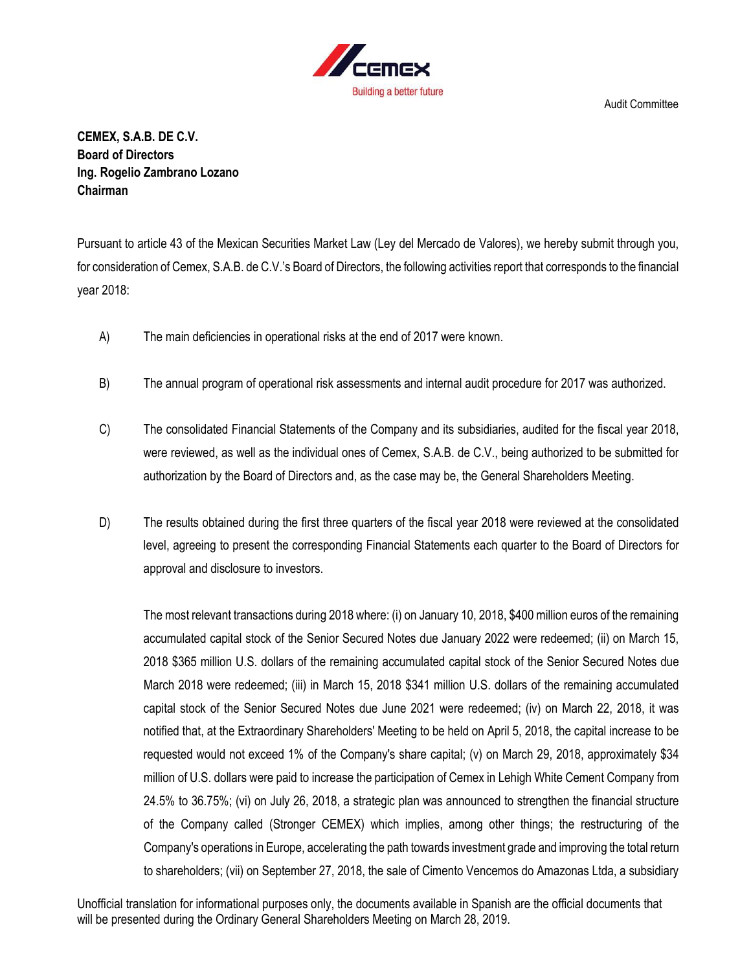

**CEMEX, S.A.B. DE C.V. Board of Directors Ing. Rogelio Zambrano Lozano Chairman**

Pursuant to article 43 of the Mexican Securities Market Law (Ley del Mercado de Valores), we hereby submit through you, for consideration of Cemex, S.A.B. de C.V.'s Board of Directors, the following activities report that corresponds to the financial year 2018:

- A) The main deficiencies in operational risks at the end of 2017 were known.
- B) The annual program of operational risk assessments and internal audit procedure for 2017 was authorized.
- C) The consolidated Financial Statements of the Company and its subsidiaries, audited for the fiscal year 2018, were reviewed, as well as the individual ones of Cemex, S.A.B. de C.V., being authorized to be submitted for authorization by the Board of Directors and, as the case may be, the General Shareholders Meeting.
- D) The results obtained during the first three quarters of the fiscal year 2018 were reviewed at the consolidated level, agreeing to present the corresponding Financial Statements each quarter to the Board of Directors for approval and disclosure to investors.

The most relevant transactions during 2018 where: (i) on January 10, 2018, \$400 million euros of the remaining accumulated capital stock of the Senior Secured Notes due January 2022 were redeemed; (ii) on March 15, 2018 \$365 million U.S. dollars of the remaining accumulated capital stock of the Senior Secured Notes due March 2018 were redeemed; (iii) in March 15, 2018 \$341 million U.S. dollars of the remaining accumulated capital stock of the Senior Secured Notes due June 2021 were redeemed; (iv) on March 22, 2018, it was notified that, at the Extraordinary Shareholders' Meeting to be held on April 5, 2018, the capital increase to be requested would not exceed 1% of the Company's share capital; (v) on March 29, 2018, approximately \$34 million of U.S. dollars were paid to increase the participation of Cemex in Lehigh White Cement Company from 24.5% to 36.75%; (vi) on July 26, 2018, a strategic plan was announced to strengthen the financial structure of the Company called (Stronger CEMEX) which implies, among other things; the restructuring of the Company's operations in Europe, accelerating the path towards investment grade and improving the total return to shareholders; (vii) on September 27, 2018, the sale of Cimento Vencemos do Amazonas Ltda, a subsidiary

Unofficial translation for informational purposes only, the documents available in Spanish are the official documents that will be presented during the Ordinary General Shareholders Meeting on March 28, 2019.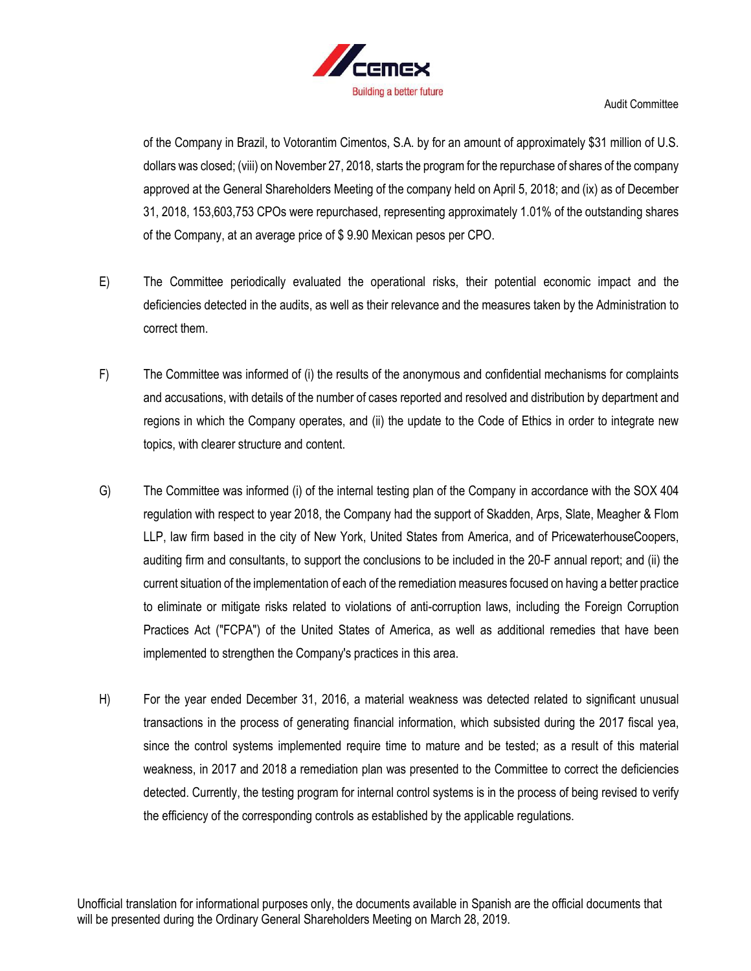

of the Company in Brazil, to Votorantim Cimentos, S.A. by for an amount of approximately \$31 million of U.S. dollars was closed; (viii) on November 27, 2018, starts the program for the repurchase of shares of the company approved at the General Shareholders Meeting of the company held on April 5, 2018; and (ix) as of December 31, 2018, 153,603,753 CPOs were repurchased, representing approximately 1.01% of the outstanding shares of the Company, at an average price of \$ 9.90 Mexican pesos per CPO.

- E) The Committee periodically evaluated the operational risks, their potential economic impact and the deficiencies detected in the audits, as well as their relevance and the measures taken by the Administration to correct them.
- F) The Committee was informed of (i) the results of the anonymous and confidential mechanisms for complaints and accusations, with details of the number of cases reported and resolved and distribution by department and regions in which the Company operates, and (ii) the update to the Code of Ethics in order to integrate new topics, with clearer structure and content.
- G) The Committee was informed (i) of the internal testing plan of the Company in accordance with the SOX 404 regulation with respect to year 2018, the Company had the support of Skadden, Arps, Slate, Meagher & Flom LLP, law firm based in the city of New York, United States from America, and of PricewaterhouseCoopers, auditing firm and consultants, to support the conclusions to be included in the 20-F annual report; and (ii) the current situation of the implementation of each of the remediation measures focused on having a better practice to eliminate or mitigate risks related to violations of anti-corruption laws, including the Foreign Corruption Practices Act ("FCPA") of the United States of America, as well as additional remedies that have been implemented to strengthen the Company's practices in this area.
- H) For the year ended December 31, 2016, a material weakness was detected related to significant unusual transactions in the process of generating financial information, which subsisted during the 2017 fiscal yea, since the control systems implemented require time to mature and be tested; as a result of this material weakness, in 2017 and 2018 a remediation plan was presented to the Committee to correct the deficiencies detected. Currently, the testing program for internal control systems is in the process of being revised to verify the efficiency of the corresponding controls as established by the applicable regulations.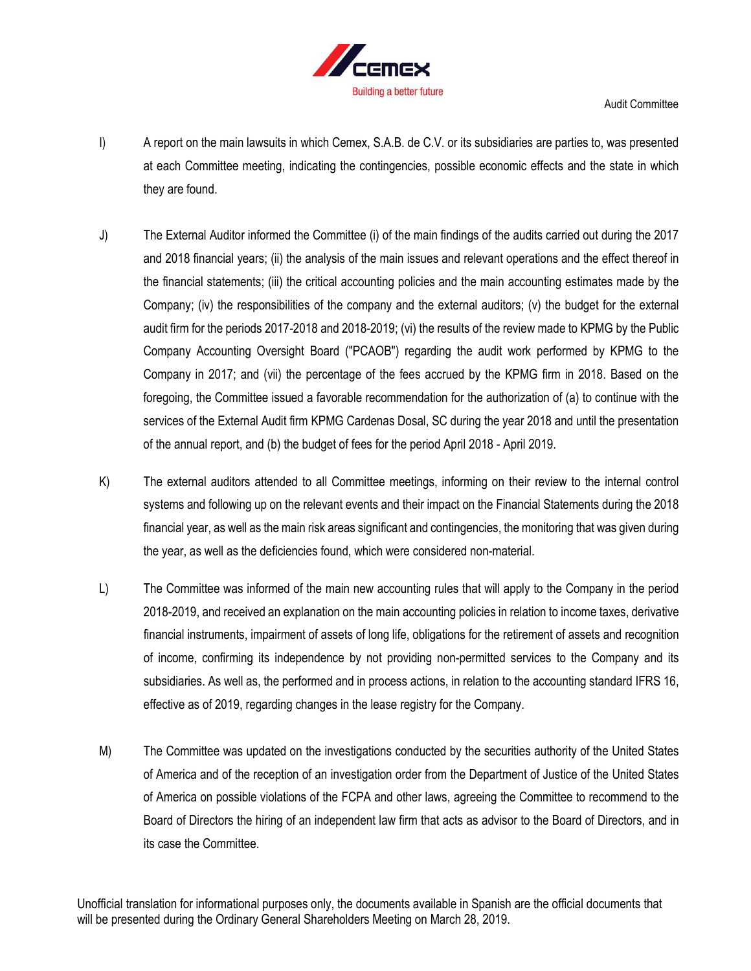

- I) A report on the main lawsuits in which Cemex, S.A.B. de C.V. or its subsidiaries are parties to, was presented at each Committee meeting, indicating the contingencies, possible economic effects and the state in which they are found.
- J) The External Auditor informed the Committee (i) of the main findings of the audits carried out during the 2017 and 2018 financial years; (ii) the analysis of the main issues and relevant operations and the effect thereof in the financial statements; (iii) the critical accounting policies and the main accounting estimates made by the Company; (iv) the responsibilities of the company and the external auditors; (v) the budget for the external audit firm for the periods 2017-2018 and 2018-2019; (vi) the results of the review made to KPMG by the Public Company Accounting Oversight Board ("PCAOB") regarding the audit work performed by KPMG to the Company in 2017; and (vii) the percentage of the fees accrued by the KPMG firm in 2018. Based on the foregoing, the Committee issued a favorable recommendation for the authorization of (a) to continue with the services of the External Audit firm KPMG Cardenas Dosal, SC during the year 2018 and until the presentation of the annual report, and (b) the budget of fees for the period April 2018 - April 2019.
- K) The external auditors attended to all Committee meetings, informing on their review to the internal control systems and following up on the relevant events and their impact on the Financial Statements during the 2018 financial year, as well as the main risk areas significant and contingencies, the monitoring that was given during the year, as well as the deficiencies found, which were considered non-material.
- L) The Committee was informed of the main new accounting rules that will apply to the Company in the period 2018-2019, and received an explanation on the main accounting policies in relation to income taxes, derivative financial instruments, impairment of assets of long life, obligations for the retirement of assets and recognition of income, confirming its independence by not providing non-permitted services to the Company and its subsidiaries. As well as, the performed and in process actions, in relation to the accounting standard IFRS 16, effective as of 2019, regarding changes in the lease registry for the Company.
- M) The Committee was updated on the investigations conducted by the securities authority of the United States of America and of the reception of an investigation order from the Department of Justice of the United States of America on possible violations of the FCPA and other laws, agreeing the Committee to recommend to the Board of Directors the hiring of an independent law firm that acts as advisor to the Board of Directors, and in its case the Committee.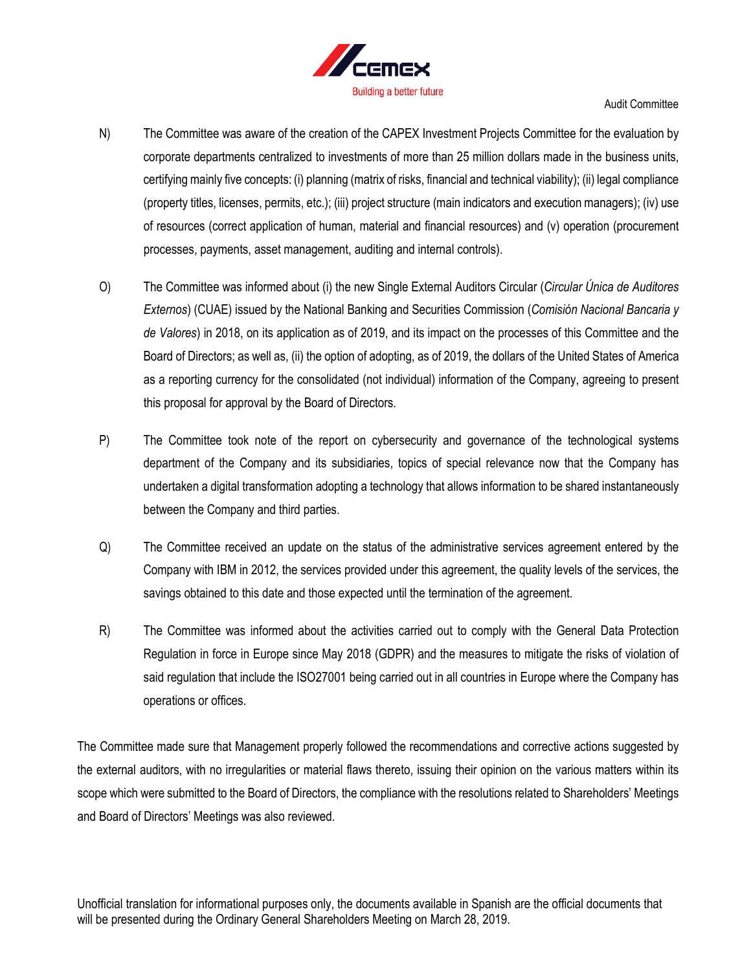

- N) The Committee was aware of the creation of the CAPEX Investment Projects Committee for the evaluation by corporate departments centralized to investments of more than 25 million dollars made in the business units, certifying mainly five concepts: (i) planning (matrix of risks, financial and technical viability); (ii) legal compliance (property titles, licenses, permits, etc.); (iii) project structure (main indicators and execution managers); (iv) use of resources (correct application of human, material and financial resources) and (v) operation (procurement processes, payments, asset management, auditing and internal controls).
- O) The Committee was informed about (i) the new Single External Auditors Circular (*Circular Única de Auditores Externos*) (CUAE) issued by the National Banking and Securities Commission (*Comisión Nacional Bancaria y de Valores*) in 2018, on its application as of 2019, and its impact on the processes of this Committee and the Board of Directors; as well as, (ii) the option of adopting, as of 2019, the dollars of the United States of America as a reporting currency for the consolidated (not individual) information of the Company, agreeing to present this proposal for approval by the Board of Directors.
- P) The Committee took note of the report on cybersecurity and governance of the technological systems department of the Company and its subsidiaries, topics of special relevance now that the Company has undertaken a digital transformation adopting a technology that allows information to be shared instantaneously between the Company and third parties.
- Q) The Committee received an update on the status of the administrative services agreement entered by the Company with IBM in 2012, the services provided under this agreement, the quality levels of the services, the savings obtained to this date and those expected until the termination of the agreement.
- R) The Committee was informed about the activities carried out to comply with the General Data Protection Regulation in force in Europe since May 2018 (GDPR) and the measures to mitigate the risks of violation of said regulation that include the ISO27001 being carried out in all countries in Europe where the Company has operations or offices.

The Committee made sure that Management properly followed the recommendations and corrective actions suggested by the external auditors, with no irregularities or material flaws thereto, issuing their opinion on the various matters within its scope which were submitted to the Board of Directors, the compliance with the resolutions related to Shareholders' Meetings and Board of Directors' Meetings was also reviewed.

Unofficial translation for informational purposes only, the documents available in Spanish are the official documents that will be presented during the Ordinary General Shareholders Meeting on March 28, 2019.